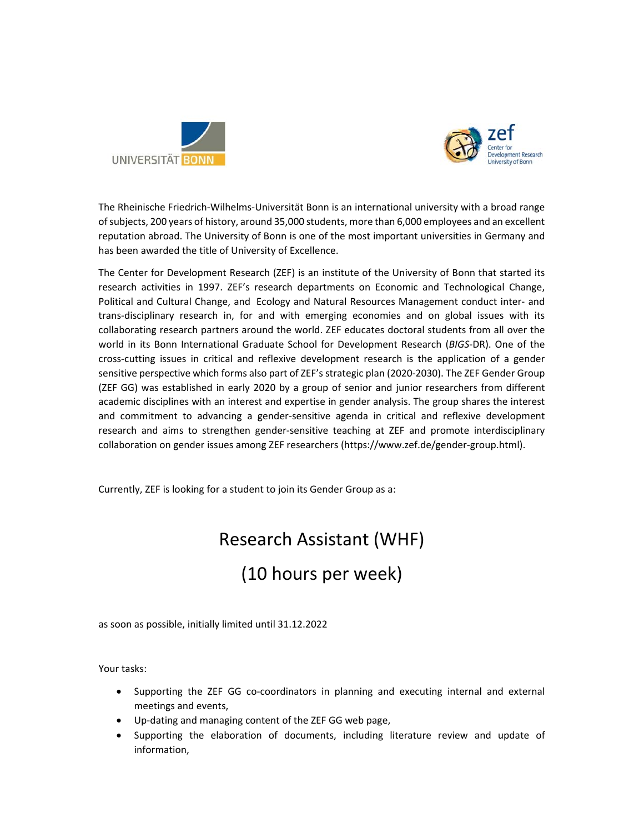



The Rheinische Friedrich‐Wilhelms‐Universität Bonn is an international university with a broad range of subjects, 200 years of history, around 35,000 students, more than 6,000 employees and an excellent reputation abroad. The University of Bonn is one of the most important universities in Germany and has been awarded the title of University of Excellence.

The Center for Development Research (ZEF) is an institute of the University of Bonn that started its research activities in 1997. ZEF's research departments on Economic and Technological Change, Political and Cultural Change, and Ecology and Natural Resources Management conduct inter‐ and trans‐disciplinary research in, for and with emerging economies and on global issues with its collaborating research partners around the world. ZEF educates doctoral students from all over the world in its Bonn International Graduate School for Development Research (*BIGS*‐DR). One of the cross‐cutting issues in critical and reflexive development research is the application of a gender sensitive perspective which forms also part of ZEF's strategic plan (2020‐2030). The ZEF Gender Group (ZEF GG) was established in early 2020 by a group of senior and junior researchers from different academic disciplines with an interest and expertise in gender analysis. The group shares the interest and commitment to advancing a gender-sensitive agenda in critical and reflexive development research and aims to strengthen gender-sensitive teaching at ZEF and promote interdisciplinary collaboration on gender issues among ZEF researchers (https://www.zef.de/gender‐group.html).

Currently, ZEF is looking for a student to join its Gender Group as a:

## Research Assistant (WHF)

## (10 hours per week)

as soon as possible, initially limited until 31.12.2022

Your tasks:

- Supporting the ZEF GG co-coordinators in planning and executing internal and external meetings and events,
- Up‐dating and managing content of the ZEF GG web page,
- Supporting the elaboration of documents, including literature review and update of information,